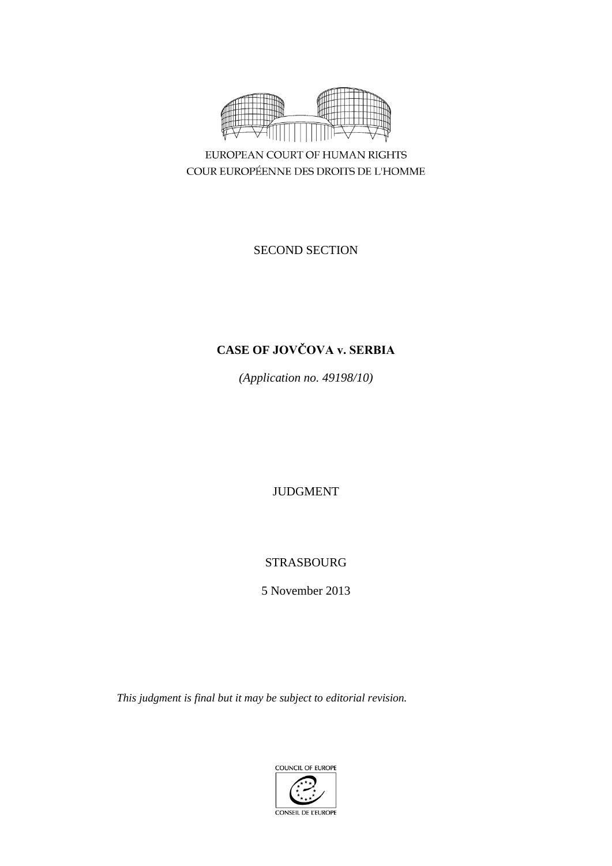

EUROPEAN COURT OF HUMAN RIGHTS COUR EUROPÉENNE DES DROITS DE L'HOMME

SECOND SECTION

# **CASE OF JOVČOVA v. SERBIA**

*(Application no. 49198/10)*

JUDGMENT

STRASBOURG

5 November 2013

*This judgment is final but it may be subject to editorial revision.*

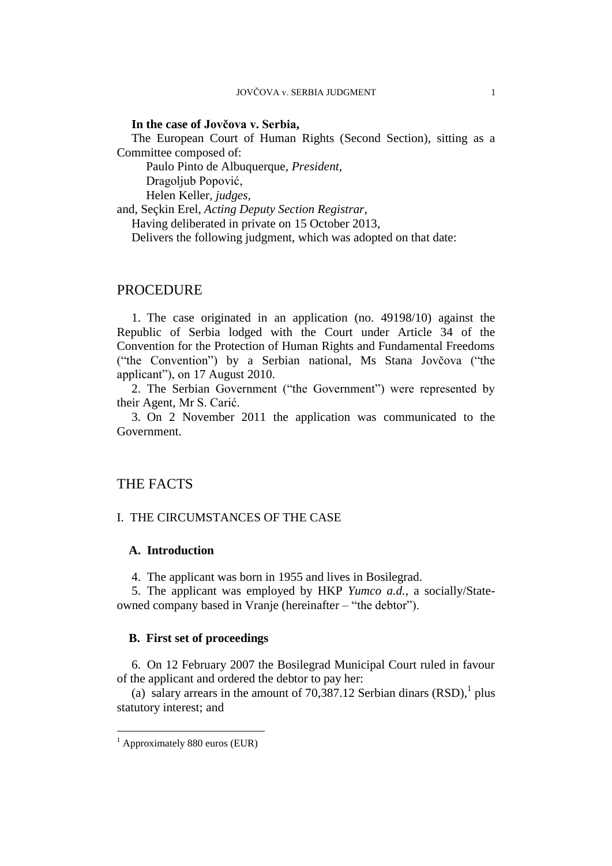# **In the case of Jovčova v. Serbia,**

The European Court of Human Rights (Second Section), sitting as a Committee composed of:

Paulo Pinto de Albuquerque, *President,*

Dragoljub Popović,

Helen Keller, *judges,*

and, Seçkin Erel, *Acting Deputy Section Registrar,*

Having deliberated in private on 15 October 2013,

Delivers the following judgment, which was adopted on that date:

# PROCEDURE

1. The case originated in an application (no. 49198/10) against the Republic of Serbia lodged with the Court under Article 34 of the Convention for the Protection of Human Rights and Fundamental Freedoms ("the Convention") by a Serbian national, Ms Stana Jovčova ("the applicant"), on 17 August 2010.

2. The Serbian Government ("the Government") were represented by their Agent, Mr S. Carić.

3. On 2 November 2011 the application was communicated to the Government.

# THE FACTS

## I. THE CIRCUMSTANCES OF THE CASE

# **A. Introduction**

4. The applicant was born in 1955 and lives in Bosilegrad.

5. The applicant was employed by HKP *Yumco a.d.*, a socially/Stateowned company based in Vranje (hereinafter – "the debtor").

# **B. First set of proceedings**

6. On 12 February 2007 the Bosilegrad Municipal Court ruled in favour of the applicant and ordered the debtor to pay her:

(a) salary arrears in the amount of  $70,387.12$  Serbian dinars  $(RSD)$ , plus statutory interest; and

 $\overline{a}$ 

 $<sup>1</sup>$  Approximately 880 euros (EUR)</sup>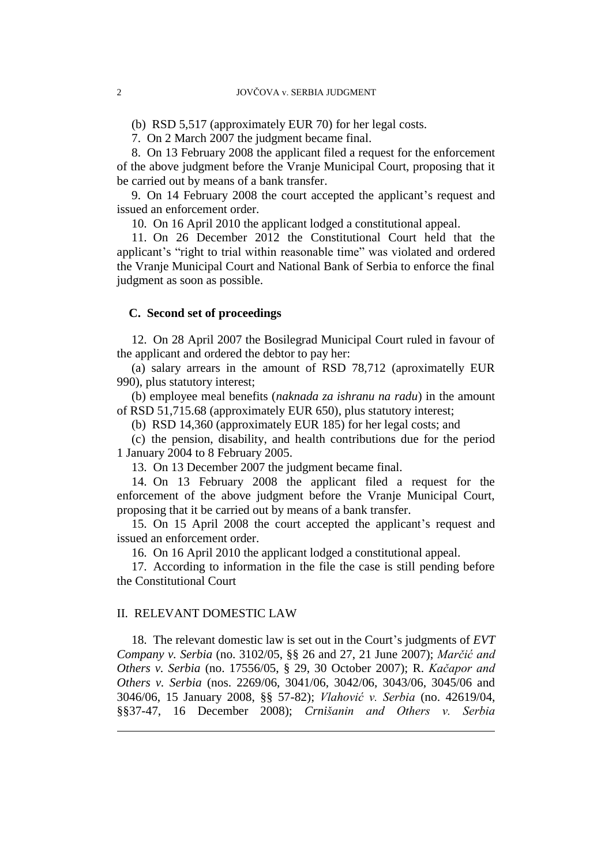(b) RSD 5,517 (approximately EUR 70) for her legal costs.

7. On 2 March 2007 the judgment became final.

8. On 13 February 2008 the applicant filed a request for the enforcement of the above judgment before the Vranje Municipal Court, proposing that it be carried out by means of a bank transfer.

9. On 14 February 2008 the court accepted the applicant's request and issued an enforcement order.

10. On 16 April 2010 the applicant lodged a constitutional appeal.

11. On 26 December 2012 the Constitutional Court held that the applicant's "right to trial within reasonable time" was violated and ordered the Vranje Municipal Court and National Bank of Serbia to enforce the final judgment as soon as possible.

### **C. Second set of proceedings**

12. On 28 April 2007 the Bosilegrad Municipal Court ruled in favour of the applicant and ordered the debtor to pay her:

(a) salary arrears in the amount of RSD 78,712 (aproximatelly EUR 990), plus statutory interest;

(b) employee meal benefits (*naknada za ishranu na radu*) in the amount of RSD 51,715.68 (approximately EUR 650), plus statutory interest;

(b) RSD 14,360 (approximately EUR 185) for her legal costs; and

(c) the pension, disability, and health contributions due for the period 1 January 2004 to 8 February 2005.

13. On 13 December 2007 the judgment became final.

14. On 13 February 2008 the applicant filed a request for the enforcement of the above judgment before the Vranje Municipal Court, proposing that it be carried out by means of a bank transfer.

15. On 15 April 2008 the court accepted the applicant's request and issued an enforcement order.

16. On 16 April 2010 the applicant lodged a constitutional appeal.

17. According to information in the file the case is still pending before the Constitutional Court

# II. RELEVANT DOMESTIC LAW

 $\overline{a}$ 

18. The relevant domestic law is set out in the Court's judgments of *EVT Company v. Serbia* (no. 3102/05, §§ 26 and 27, 21 June 2007); *Marčić and Others v. Serbia* (no. 17556/05, § 29, 30 October 2007); R. *Kačapor and Others v. Serbia* (nos. 2269/06, 3041/06, 3042/06, 3043/06, 3045/06 and 3046/06, 15 January 2008, §§ 57-82); *Vlahović v. Serbia* (no. 42619/04, §§37-47, 16 December 2008); *Crnišanin and Others v. Serbia*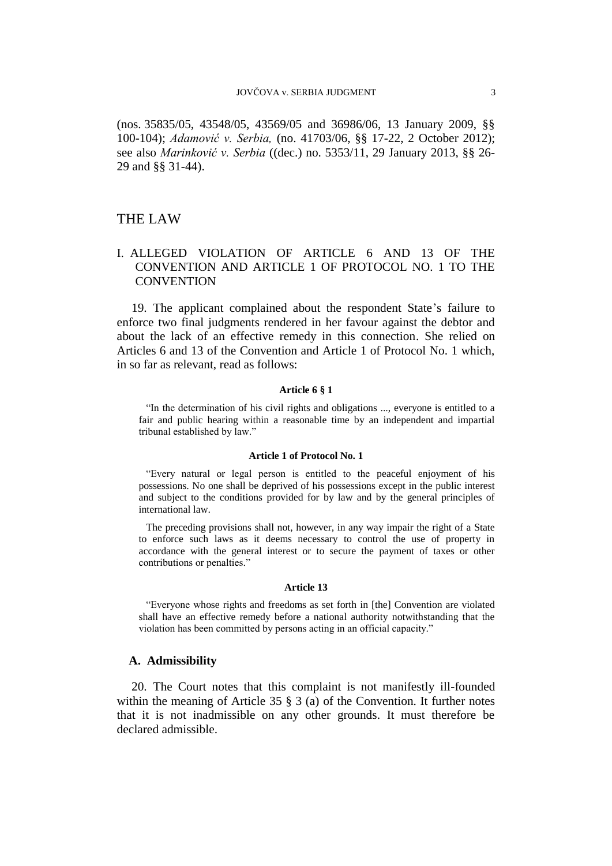(nos. 35835/05, 43548/05, 43569/05 and 36986/06, 13 January 2009, §§ 100-104); *Adamović v. Serbia,* (no. 41703/06, §§ 17-22, 2 October 2012); see also *Marinković v. Serbia* ((dec.) no. 5353/11, 29 January 2013, §§ 26- 29 and §§ 31-44).

# THE LAW

# I. ALLEGED VIOLATION OF ARTICLE 6 AND 13 OF THE CONVENTION AND ARTICLE 1 OF PROTOCOL NO. 1 TO THE **CONVENTION**

19. The applicant complained about the respondent State's failure to enforce two final judgments rendered in her favour against the debtor and about the lack of an effective remedy in this connection. She relied on Articles 6 and 13 of the Convention and Article 1 of Protocol No. 1 which, in so far as relevant, read as follows:

#### **Article 6 § 1**

"In the determination of his civil rights and obligations ..., everyone is entitled to a fair and public hearing within a reasonable time by an independent and impartial tribunal established by law."

#### **Article 1 of Protocol No. 1**

"Every natural or legal person is entitled to the peaceful enjoyment of his possessions. No one shall be deprived of his possessions except in the public interest and subject to the conditions provided for by law and by the general principles of international law.

The preceding provisions shall not, however, in any way impair the right of a State to enforce such laws as it deems necessary to control the use of property in accordance with the general interest or to secure the payment of taxes or other contributions or penalties."

#### **Article 13**

"Everyone whose rights and freedoms as set forth in [the] Convention are violated shall have an effective remedy before a national authority notwithstanding that the violation has been committed by persons acting in an official capacity."

#### **A. Admissibility**

20. The Court notes that this complaint is not manifestly ill-founded within the meaning of Article 35 § 3 (a) of the Convention. It further notes that it is not inadmissible on any other grounds. It must therefore be declared admissible.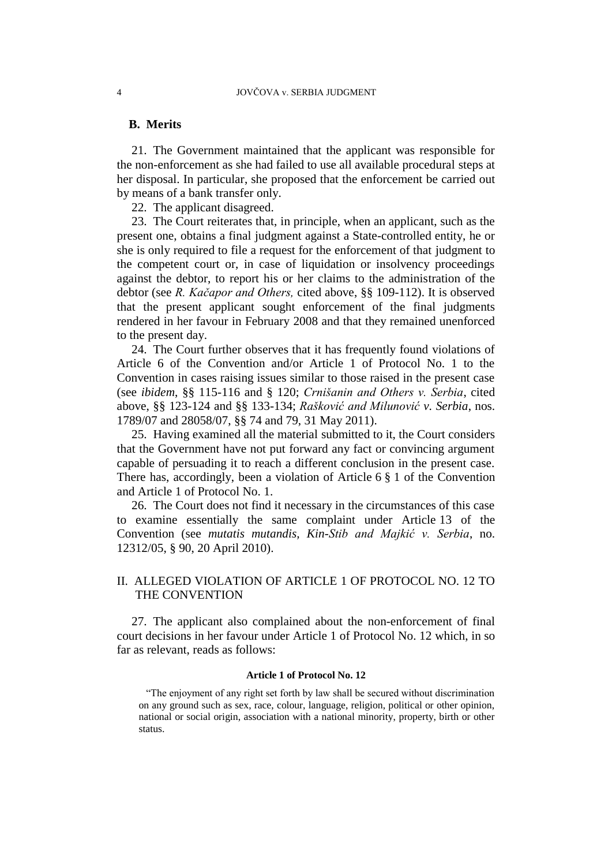#### 4 JOVČOVA v. SERBIA JUDGMENT

# **B. Merits**

21. The Government maintained that the applicant was responsible for the non-enforcement as she had failed to use all available procedural steps at her disposal. In particular, she proposed that the enforcement be carried out by means of a bank transfer only.

22. The applicant disagreed.

23. The Court reiterates that, in principle, when an applicant, such as the present one, obtains a final judgment against a State-controlled entity, he or she is only required to file a request for the enforcement of that judgment to the competent court or, in case of liquidation or insolvency proceedings against the debtor, to report his or her claims to the administration of the debtor (see *R. Kačapor and Others,* cited above, §§ 109-112). It is observed that the present applicant sought enforcement of the final judgments rendered in her favour in February 2008 and that they remained unenforced to the present day.

24. The Court further observes that it has frequently found violations of Article 6 of the Convention and/or Article 1 of Protocol No. 1 to the Convention in cases raising issues similar to those raised in the present case (see *ibidem*, §§ 115-116 and § 120; *Crnišanin and Others v. Serbia*, cited above, §§ 123-124 and §§ 133-134; *Rašković and Milunović v. Serbia*, nos. 1789/07 and 28058/07, §§ 74 and 79, 31 May 2011).

25. Having examined all the material submitted to it, the Court considers that the Government have not put forward any fact or convincing argument capable of persuading it to reach a different conclusion in the present case. There has, accordingly, been a violation of Article 6 § 1 of the Convention and Article 1 of Protocol No. 1.

26. The Court does not find it necessary in the circumstances of this case to examine essentially the same complaint under Article 13 of the Convention (see *mutatis mutandis, Kin-Stib and Majkić v. Serbia*, no. 12312/05, § 90, 20 April 2010).

# II. ALLEGED VIOLATION OF ARTICLE 1 OF PROTOCOL NO. 12 TO THE CONVENTION

27. The applicant also complained about the non-enforcement of final court decisions in her favour under Article 1 of Protocol No. 12 which, in so far as relevant, reads as follows:

#### **Article 1 of Protocol No. 12**

"The enjoyment of any right set forth by law shall be secured without discrimination on any ground such as sex, race, colour, language, religion, political or other opinion, national or social origin, association with a national minority, property, birth or other status.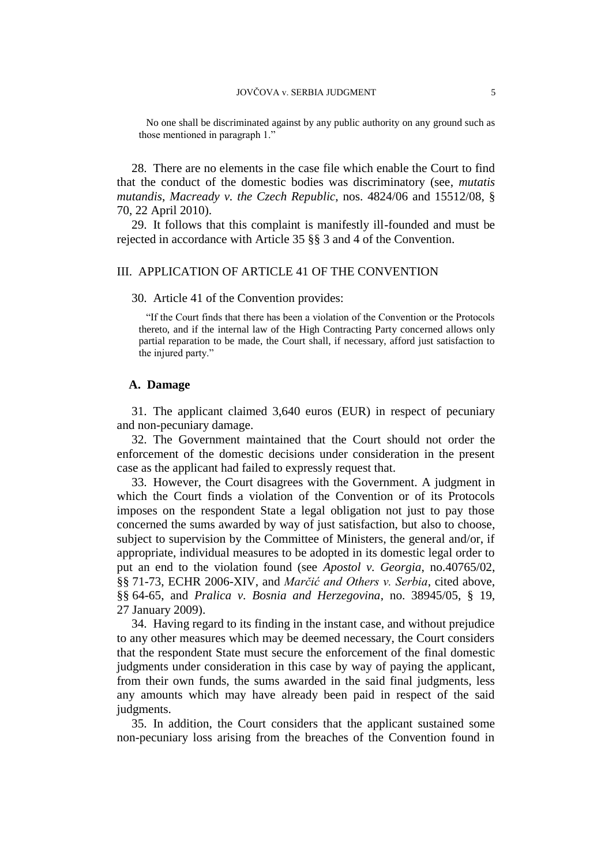No one shall be discriminated against by any public authority on any ground such as those mentioned in paragraph 1."

28. There are no elements in the case file which enable the Court to find that the conduct of the domestic bodies was discriminatory (see, *mutatis mutandis*, *Macready v. the Czech Republic*, nos. 4824/06 and 15512/08, § 70, 22 April 2010).

29. It follows that this complaint is manifestly ill-founded and must be rejected in accordance with Article 35 §§ 3 and 4 of the Convention.

### III. APPLICATION OF ARTICLE 41 OF THE CONVENTION

30. Article 41 of the Convention provides:

"If the Court finds that there has been a violation of the Convention or the Protocols thereto, and if the internal law of the High Contracting Party concerned allows only partial reparation to be made, the Court shall, if necessary, afford just satisfaction to the injured party."

### **A. Damage**

31. The applicant claimed 3,640 euros (EUR) in respect of pecuniary and non-pecuniary damage.

32. The Government maintained that the Court should not order the enforcement of the domestic decisions under consideration in the present case as the applicant had failed to expressly request that.

33. However, the Court disagrees with the Government. A judgment in which the Court finds a violation of the Convention or of its Protocols imposes on the respondent State a legal obligation not just to pay those concerned the sums awarded by way of just satisfaction, but also to choose, subject to supervision by the Committee of Ministers, the general and/or, if appropriate, individual measures to be adopted in its domestic legal order to put an end to the violation found (see *Apostol v. Georgia*, no.40765/02, §§ 71-73, ECHR 2006-XIV, and *Marčić and Others v. Serbia*, cited above, §§ 64-65, and *Pralica v. Bosnia and Herzegovina*, no. 38945/05, § 19, 27 January 2009).

34. Having regard to its finding in the instant case, and without prejudice to any other measures which may be deemed necessary, the Court considers that the respondent State must secure the enforcement of the final domestic judgments under consideration in this case by way of paying the applicant, from their own funds, the sums awarded in the said final judgments, less any amounts which may have already been paid in respect of the said judgments.

35. In addition, the Court considers that the applicant sustained some non-pecuniary loss arising from the breaches of the Convention found in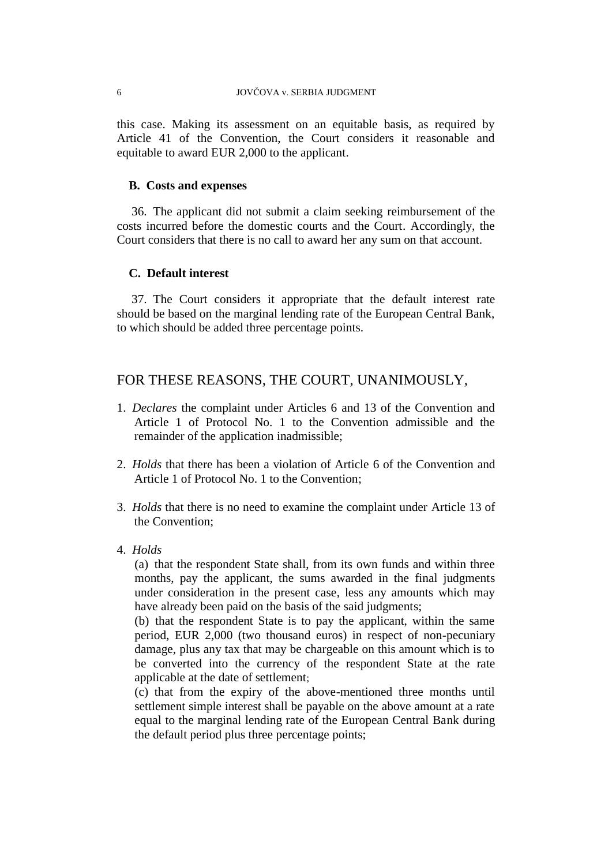this case. Making its assessment on an equitable basis, as required by Article 41 of the Convention, the Court considers it reasonable and equitable to award EUR 2,000 to the applicant.

### **B. Costs and expenses**

36. The applicant did not submit a claim seeking reimbursement of the costs incurred before the domestic courts and the Court. Accordingly, the Court considers that there is no call to award her any sum on that account.

# **C. Default interest**

37. The Court considers it appropriate that the default interest rate should be based on the marginal lending rate of the European Central Bank, to which should be added three percentage points.

# FOR THESE REASONS, THE COURT, UNANIMOUSLY,

- 1. *Declares* the complaint under Articles 6 and 13 of the Convention and Article 1 of Protocol No. 1 to the Convention admissible and the remainder of the application inadmissible;
- 2. *Holds* that there has been a violation of Article 6 of the Convention and Article 1 of Protocol No. 1 to the Convention;
- 3. *Holds* that there is no need to examine the complaint under Article 13 of the Convention;
- 4. *Holds*

(a) that the respondent State shall, from its own funds and within three months, pay the applicant, the sums awarded in the final judgments under consideration in the present case, less any amounts which may have already been paid on the basis of the said judgments;

(b) that the respondent State is to pay the applicant, within the same period, EUR 2,000 (two thousand euros) in respect of non-pecuniary damage, plus any tax that may be chargeable on this amount which is to be converted into the currency of the respondent State at the rate applicable at the date of settlement;

(c) that from the expiry of the above-mentioned three months until settlement simple interest shall be payable on the above amount at a rate equal to the marginal lending rate of the European Central Bank during the default period plus three percentage points;